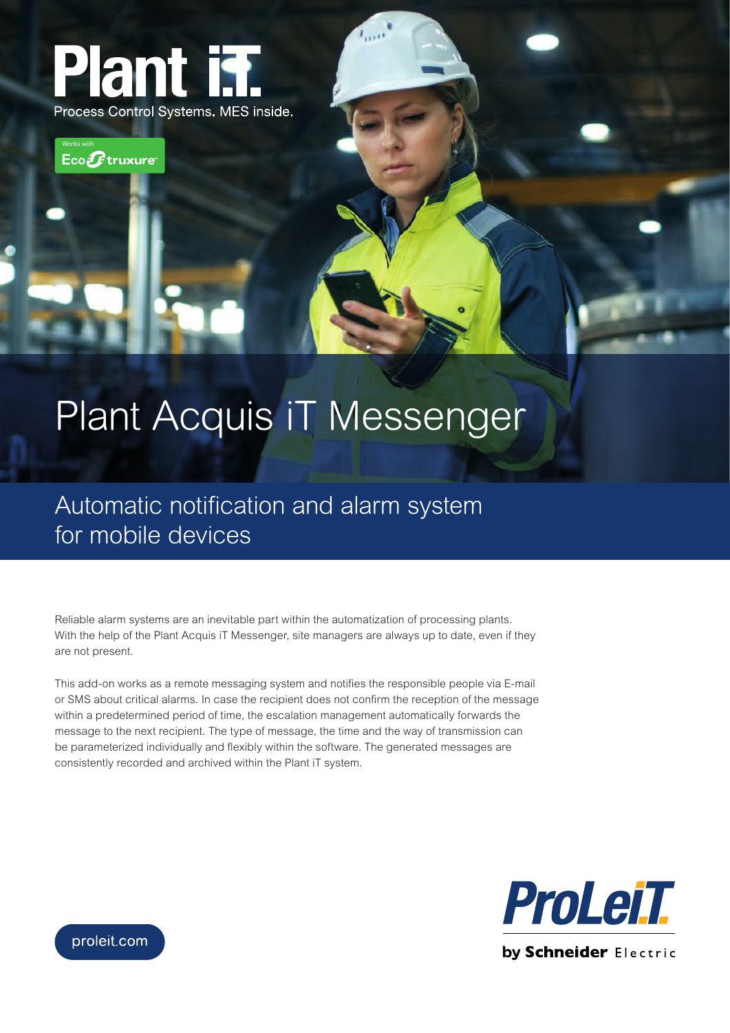



## Plant Acquis iT Messenger

Automatic notification and alarm system for mobile devices

Reliable alarm systems are an inevitable part within the automatization of processing plants. With the help of the Plant Acquis iT Messenger, site managers are always up to date, even if they are not present.

This add-on works as a remote messaging system and notifies the responsible people via E-mail or SMS about critical alarms. In case the recipient does not confirm the reception of the message within a predetermined period of time, the escalation management automatically forwards the message to the next recipient. The type of message, the time and the way of transmission can be parameterized individually and flexibly within the software. The generated messages are consistently recorded and archived within the Plant iT system.



proleit.com